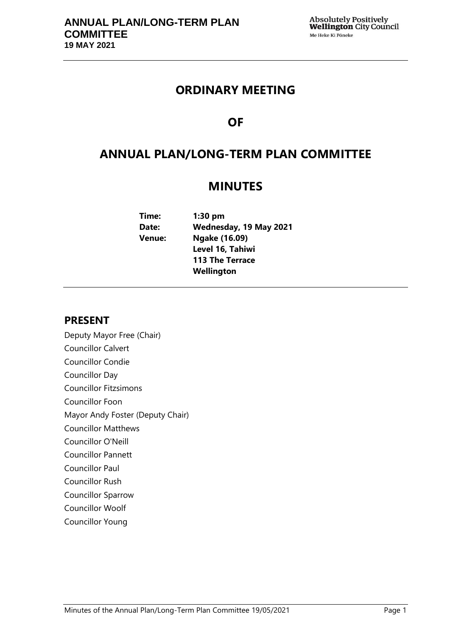## **ORDINARY MEETING**

## **OF**

## **ANNUAL PLAN/LONG-TERM PLAN COMMITTEE**

## **MINUTES**

**Time: 1:30 pm Date: Wednesday, 19 May 2021 Venue: Ngake (16.09) Level 16, Tahiwi 113 The Terrace Wellington**

## **PRESENT**

Deputy Mayor Free (Chair) Councillor Calvert Councillor Condie Councillor Day Councillor Fitzsimons Councillor Foon Mayor Andy Foster (Deputy Chair) Councillor Matthews Councillor O'Neill Councillor Pannett Councillor Paul Councillor Rush Councillor Sparrow Councillor Woolf Councillor Young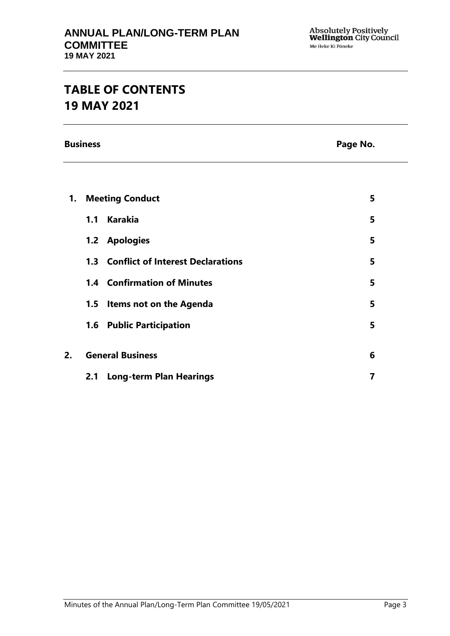# **TABLE OF CONTENTS 19 MAY 2021**

**Business Page No.**

| 1. | <b>Meeting Conduct</b>  |                                          | 5 |
|----|-------------------------|------------------------------------------|---|
|    | 1.1                     | <b>Karakia</b>                           | 5 |
|    |                         | 1.2 Apologies                            | 5 |
|    | 1.3                     | <b>Conflict of Interest Declarations</b> | 5 |
|    |                         | <b>1.4 Confirmation of Minutes</b>       | 5 |
|    |                         | 1.5 Items not on the Agenda              | 5 |
|    |                         | 1.6 Public Participation                 | 5 |
| 2. | <b>General Business</b> |                                          | 6 |
|    | 2.1                     | <b>Long-term Plan Hearings</b>           | 7 |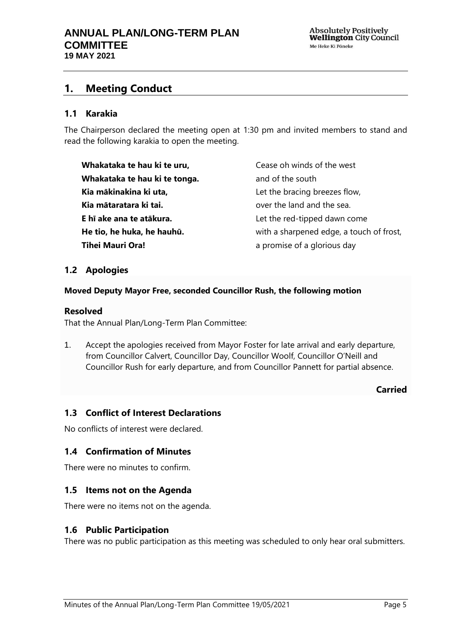## <span id="page-4-0"></span>**1. Meeting Conduct**

#### **1.1 Karakia**

The Chairperson declared the meeting open at 1:30 pm and invited members to stand and read the following karakia to open the meeting.

**Whakataka te hau ki te uru, Whakataka te hau ki te tonga. Kia mākinakina ki uta, Kia mātaratara ki tai. E hī ake ana te atākura. He tio, he huka, he hauhū. Tihei Mauri Ora!**

Cease oh winds of the west and of the south Let the bracing breezes flow, over the land and the sea. Let the red-tipped dawn come with a sharpened edge, a touch of frost, a promise of a glorious day

#### <span id="page-4-1"></span>**1.2 Apologies**

#### **Moved Deputy Mayor Free, seconded Councillor Rush, the following motion**

#### **Resolved**

That the Annual Plan/Long-Term Plan Committee:

1. Accept the apologies received from Mayor Foster for late arrival and early departure, from Councillor Calvert, Councillor Day, Councillor Woolf, Councillor O'Neill and Councillor Rush for early departure, and from Councillor Pannett for partial absence.

#### **Carried**

#### <span id="page-4-2"></span>**1.3 Conflict of Interest Declarations**

No conflicts of interest were declared.

#### <span id="page-4-3"></span>**1.4 Confirmation of Minutes**

There were no minutes to confirm.

#### <span id="page-4-4"></span>**1.5 Items not on the Agenda**

There were no items not on the agenda.

#### **1.6 Public Participation**

There was no public participation as this meeting was scheduled to only hear oral submitters.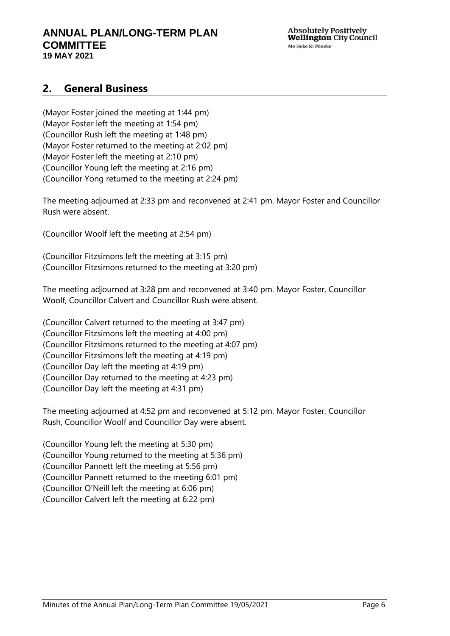**Absolutely Positively Wellington** City Council Me Heke Ki Pöneke

### <span id="page-5-0"></span>**2. General Business**

(Mayor Foster joined the meeting at 1:44 pm) (Mayor Foster left the meeting at 1:54 pm) (Councillor Rush left the meeting at 1:48 pm) (Mayor Foster returned to the meeting at 2:02 pm) (Mayor Foster left the meeting at 2:10 pm) (Councillor Young left the meeting at 2:16 pm) (Councillor Yong returned to the meeting at 2:24 pm)

The meeting adjourned at 2:33 pm and reconvened at 2:41 pm. Mayor Foster and Councillor Rush were absent.

(Councillor Woolf left the meeting at 2:54 pm)

(Councillor Fitzsimons left the meeting at 3:15 pm) (Councillor Fitzsimons returned to the meeting at 3:20 pm)

The meeting adjourned at 3:28 pm and reconvened at 3:40 pm. Mayor Foster, Councillor Woolf, Councillor Calvert and Councillor Rush were absent.

(Councillor Calvert returned to the meeting at 3:47 pm) (Councillor Fitzsimons left the meeting at 4:00 pm) (Councillor Fitzsimons returned to the meeting at 4:07 pm) (Councillor Fitzsimons left the meeting at 4:19 pm) (Councillor Day left the meeting at 4:19 pm) (Councillor Day returned to the meeting at 4:23 pm) (Councillor Day left the meeting at 4:31 pm)

The meeting adjourned at 4:52 pm and reconvened at 5:12 pm. Mayor Foster, Councillor Rush, Councillor Woolf and Councillor Day were absent.

(Councillor Young left the meeting at 5:30 pm) (Councillor Young returned to the meeting at 5:36 pm) (Councillor Pannett left the meeting at 5:56 pm) (Councillor Pannett returned to the meeting 6:01 pm) (Councillor O'Neill left the meeting at 6:06 pm) (Councillor Calvert left the meeting at 6:22 pm)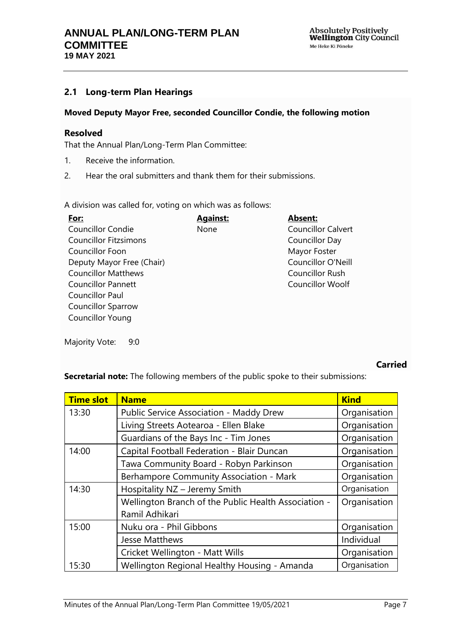### <span id="page-6-0"></span>**2.1 Long-term Plan Hearings**

#### **Moved Deputy Mayor Free, seconded Councillor Condie, the following motion**

#### **Resolved**

That the Annual Plan/Long-Term Plan Committee:

- 1. Receive the information.
- 2. Hear the oral submitters and thank them for their submissions.

A division was called for, voting on which was as follows:

| For:                       | <b>Against:</b> | <b>Absent:</b>            |  |  |
|----------------------------|-----------------|---------------------------|--|--|
| <b>Councillor Condie</b>   | None            | <b>Councillor Calvert</b> |  |  |
| Councillor Fitzsimons      |                 | Councillor Day            |  |  |
| Councillor Foon            |                 | Mayor Foster              |  |  |
| Deputy Mayor Free (Chair)  |                 | Councillor O'Neill        |  |  |
| <b>Councillor Matthews</b> |                 | Councillor Rush           |  |  |
| <b>Councillor Pannett</b>  |                 | <b>Councillor Woolf</b>   |  |  |
| <b>Councillor Paul</b>     |                 |                           |  |  |
| <b>Councillor Sparrow</b>  |                 |                           |  |  |
| <b>Councillor Young</b>    |                 |                           |  |  |

Majority Vote: 9:0

#### **Carried**

**Secretarial note:** The following members of the public spoke to their submissions:

| <b>Time slot</b>                                      | <b>Name</b>                                                            | <b>Kind</b>  |
|-------------------------------------------------------|------------------------------------------------------------------------|--------------|
| 13:30                                                 | <b>Public Service Association - Maddy Drew</b>                         | Organisation |
|                                                       | Living Streets Aotearoa - Ellen Blake                                  | Organisation |
|                                                       | Guardians of the Bays Inc - Tim Jones                                  | Organisation |
| 14:00                                                 | Capital Football Federation - Blair Duncan                             | Organisation |
|                                                       | Tawa Community Board - Robyn Parkinson                                 | Organisation |
|                                                       | Berhampore Community Association - Mark                                | Organisation |
| 14:30                                                 | Hospitality NZ - Jeremy Smith                                          | Organisation |
|                                                       | Wellington Branch of the Public Health Association -<br>Ramil Adhikari | Organisation |
| 15:00                                                 | Nuku ora - Phil Gibbons                                                | Organisation |
|                                                       | <b>Jesse Matthews</b>                                                  | Individual   |
|                                                       | Cricket Wellington - Matt Wills                                        | Organisation |
| Wellington Regional Healthy Housing - Amanda<br>15:30 |                                                                        | Organisation |